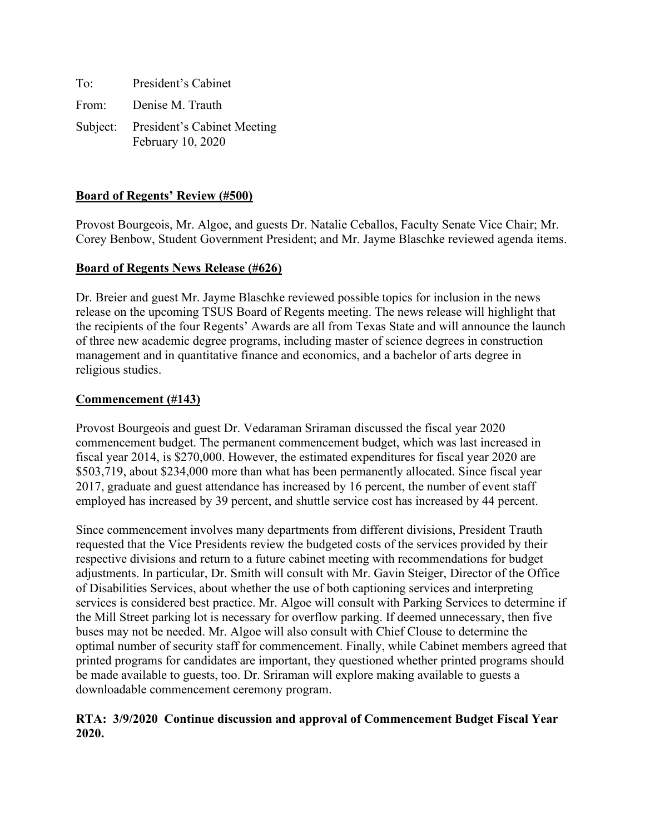| To: | President's Cabinet                                       |
|-----|-----------------------------------------------------------|
|     | From: Denise M. Trauth                                    |
|     | Subject: President's Cabinet Meeting<br>February 10, 2020 |

# **Board of Regents' Review (#500)**

Provost Bourgeois, Mr. Algoe, and guests Dr. Natalie Ceballos, Faculty Senate Vice Chair; Mr. Corey Benbow, Student Government President; and Mr. Jayme Blaschke reviewed agenda items.

#### **Board of Regents News Release (#626)**

Dr. Breier and guest Mr. Jayme Blaschke reviewed possible topics for inclusion in the news release on the upcoming TSUS Board of Regents meeting. The news release will highlight that the recipients of the four Regents' Awards are all from Texas State and will announce the launch of three new academic degree programs, including master of science degrees in construction management and in quantitative finance and economics, and a bachelor of arts degree in religious studies.

#### **Commencement (#143)**

Provost Bourgeois and guest Dr. Vedaraman Sriraman discussed the fiscal year 2020 commencement budget. The permanent commencement budget, which was last increased in fiscal year 2014, is \$270,000. However, the estimated expenditures for fiscal year 2020 are \$503,719, about \$234,000 more than what has been permanently allocated. Since fiscal year 2017, graduate and guest attendance has increased by 16 percent, the number of event staff employed has increased by 39 percent, and shuttle service cost has increased by 44 percent.

Since commencement involves many departments from different divisions, President Trauth requested that the Vice Presidents review the budgeted costs of the services provided by their respective divisions and return to a future cabinet meeting with recommendations for budget adjustments. In particular, Dr. Smith will consult with Mr. Gavin Steiger, Director of the Office of Disabilities Services, about whether the use of both captioning services and interpreting services is considered best practice. Mr. Algoe will consult with Parking Services to determine if the Mill Street parking lot is necessary for overflow parking. If deemed unnecessary, then five buses may not be needed. Mr. Algoe will also consult with Chief Clouse to determine the optimal number of security staff for commencement. Finally, while Cabinet members agreed that printed programs for candidates are important, they questioned whether printed programs should be made available to guests, too. Dr. Sriraman will explore making available to guests a downloadable commencement ceremony program.

## **RTA: 3/9/2020 Continue discussion and approval of Commencement Budget Fiscal Year 2020.**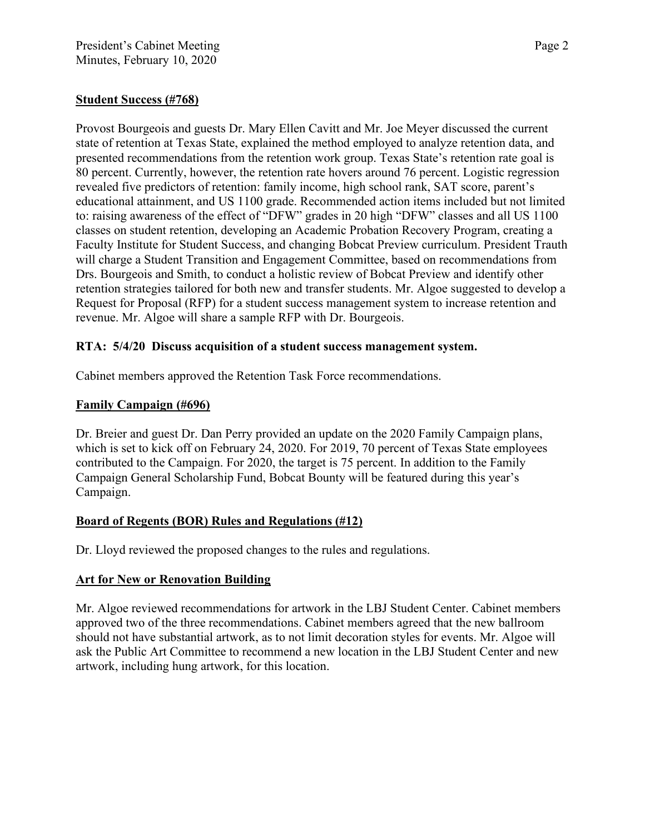# **Student Success (#768)**

Provost Bourgeois and guests Dr. Mary Ellen Cavitt and Mr. Joe Meyer discussed the current state of retention at Texas State, explained the method employed to analyze retention data, and presented recommendations from the retention work group. Texas State's retention rate goal is 80 percent. Currently, however, the retention rate hovers around 76 percent. Logistic regression revealed five predictors of retention: family income, high school rank, SAT score, parent's educational attainment, and US 1100 grade. Recommended action items included but not limited to: raising awareness of the effect of "DFW" grades in 20 high "DFW" classes and all US 1100 classes on student retention, developing an Academic Probation Recovery Program, creating a Faculty Institute for Student Success, and changing Bobcat Preview curriculum. President Trauth will charge a Student Transition and Engagement Committee, based on recommendations from Drs. Bourgeois and Smith, to conduct a holistic review of Bobcat Preview and identify other retention strategies tailored for both new and transfer students. Mr. Algoe suggested to develop a Request for Proposal (RFP) for a student success management system to increase retention and revenue. Mr. Algoe will share a sample RFP with Dr. Bourgeois.

## **RTA: 5/4/20 Discuss acquisition of a student success management system.**

Cabinet members approved the Retention Task Force recommendations.

## **Family Campaign (#696)**

Dr. Breier and guest Dr. Dan Perry provided an update on the 2020 Family Campaign plans, which is set to kick off on February 24, 2020. For 2019, 70 percent of Texas State employees contributed to the Campaign. For 2020, the target is 75 percent. In addition to the Family Campaign General Scholarship Fund, Bobcat Bounty will be featured during this year's Campaign.

# **Board of Regents (BOR) Rules and Regulations (#12)**

Dr. Lloyd reviewed the proposed changes to the rules and regulations.

#### **Art for New or Renovation Building**

Mr. Algoe reviewed recommendations for artwork in the LBJ Student Center. Cabinet members approved two of the three recommendations. Cabinet members agreed that the new ballroom should not have substantial artwork, as to not limit decoration styles for events. Mr. Algoe will ask the Public Art Committee to recommend a new location in the LBJ Student Center and new artwork, including hung artwork, for this location.